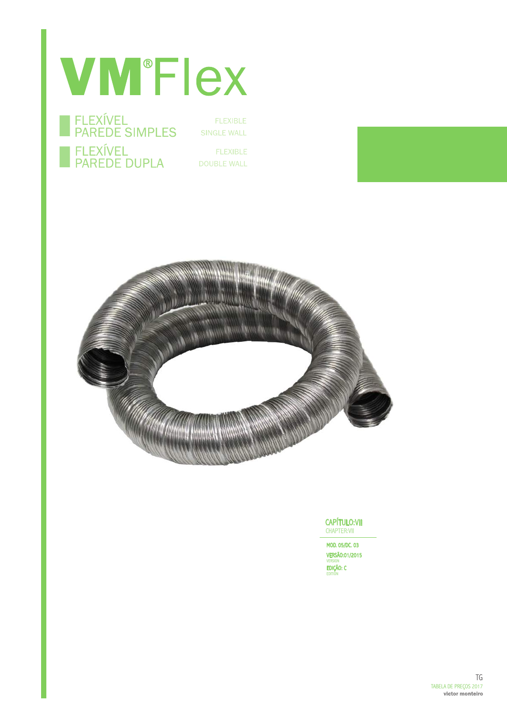# **VM®Flex**



**FLEXIBLE** SINGLE WALL

**FLEXIBLE DOUBLE WALL** 



CAPÍTULO:VII CHAPTER:VII

MOD. 05/DC. 03 VERSÃO:01/2015 version<br>**EDIÇÃO: C**<br>EDITIÓN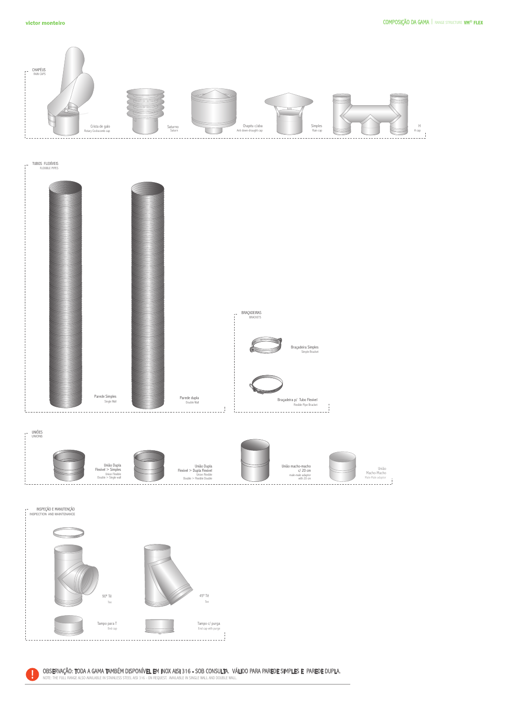

TUBOS FLEXÍVEIS FLEXIBLE PIPES

 $\bar{t}$ 



ŗ. UNIÕES UNIONS





OBSERVAÇÃO: TODA A GAMA TAMBÉM DISPONÍVEL EM INOX AISI 316 – SOB CONSULTA. VÁLIDO PARA PAREDE SIMPLES E PAREDE DUPLA.<br>NOTE THE FULL RANGE ALSO AVAILABLE IN STAINLESS STEEL AISI 316 – ON REQUEST. AVAILABLE IN SINGLE WALL AN

NOTE: THE FULL RANGE ALSO AVAILABLE IN STAINLESS STEEL AISI 316 - ON REQUEST. AVAILABLE IN SINGLE WALL AND DOUBLE WALL.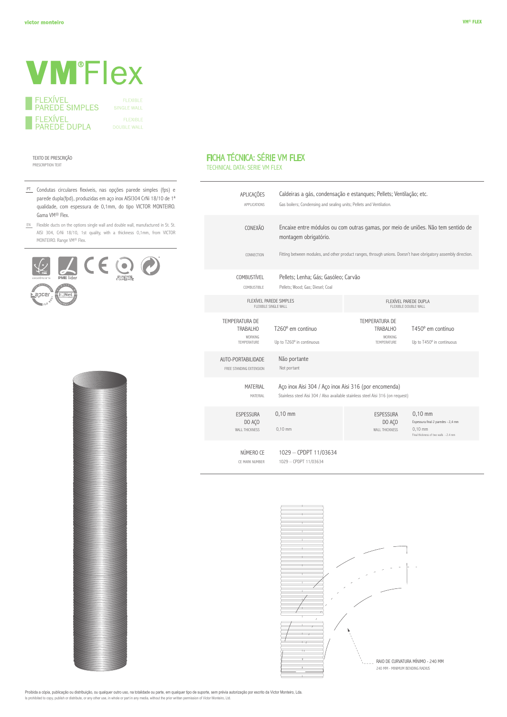# **VM**<sup>\*</sup>Flex

| <b>FI FXIVEL</b><br><b>PAREDE SIMPLES</b> |
|-------------------------------------------|
| <b>FI FXIVEL</b><br>I PAREDE DUPLA        |

SINGLE WALL

#### TEXTO DE PRESCRIÇÃO PRESCRIPTION TEXT

- PT Condutas circulares flexíveis, nas opções parede simples (fps) e parede dupla(fpd), produzidas em aço inox AISI304 CrNi 18/10 de 1ª qualidade, com espessura de 0,1mm, do tipo VICTOR MONTEIRO. Gama VM® Flex.
- EN Flexible ducts on the options single wall and double wall, manufactured in St. St. AISI 304, CrNi 18/10, 1st quality, with a thickness 0,1mm, from VICTOR MONTEIRO. Range VM® Flex.





### FICHA TÉCNICA: SÉRIE VM FLEX

TECHNICAL DATA: SERIE VM FLEX

| APLICAÇÕES<br>APPI ICATIONS                                        |                                                                                                                                          | Caldeiras a gás, condensação e estangues; Pellets; Ventilação; etc.<br>Gas boilers; Condensing and sealing units; Pellets and Ventilation. |                                                                                                       |  |
|--------------------------------------------------------------------|------------------------------------------------------------------------------------------------------------------------------------------|--------------------------------------------------------------------------------------------------------------------------------------------|-------------------------------------------------------------------------------------------------------|--|
| CONEXÃO                                                            | montagem obrigatório.                                                                                                                    | Encaixe entre módulos ou com outras gamas, por meio de uniões. Não tem sentido de                                                          |                                                                                                       |  |
| CONNECTION                                                         |                                                                                                                                          | Fitting between modules, and other product ranges, through unions. Doesn't have obrigatory assembly direction.                             |                                                                                                       |  |
| COMBUSTÍVEL<br>COMBUSTIBLE                                         | Pellets; Lenha; Gás; Gasóleo; Carvão<br>Pellets; Wood; Gas; Diesel; Coal                                                                 |                                                                                                                                            |                                                                                                       |  |
| FLEXÍVEL PAREDE SIMPLES<br>FLEXIBLE SINGLE WALL                    |                                                                                                                                          | FLEXÍVEL PAREDE DUPLA<br>FLEXIBLE DOUBLE WALL                                                                                              |                                                                                                       |  |
| TEMPERATURA DE<br><b>TRABALHO</b><br><b>WORKING</b><br>TEMPERATURE | T260° em contínuo<br>Up to T260° in continuous                                                                                           | TEMPERATURA DE<br>TRABALHO<br><b>WORKING</b><br><b>TEMPERATURE</b>                                                                         | T450° em contínuo<br>Up to T450° in continuous                                                        |  |
| AUTO-PORTABILIDADE<br>FREE STANDING EXTENSION                      | Não portante<br>Not portant                                                                                                              |                                                                                                                                            |                                                                                                       |  |
| MATERIAL<br>MATERIAL                                               | Aço inox Aisi 304 / Aço inox Aisi 316 (por encomenda)<br>Stainless steel Aisi 304 / Also available stainless steel Aisi 316 (on request) |                                                                                                                                            |                                                                                                       |  |
| <b>ESPESSURA</b><br>DO AÇO<br><b>WALL THICKNESS</b>                | $0,10$ mm<br>$0,10$ mm                                                                                                                   | <b>ESPESSURA</b><br>DO ACO<br><b>WALL THICKNESS</b>                                                                                        | $0,10$ mm<br>Espessura final 2 paredes - 2,4 mm<br>$0.10$ mm<br>Final thickness of two walls - 2.4 mm |  |
| NÚMERO CE<br>CE MARK NUMBER                                        | 1029 - CPDPT 11/03634<br>1029 - CPDPT 11/03634                                                                                           |                                                                                                                                            |                                                                                                       |  |



Proibida a cópia, publicação ou distribuição, ou qualquer outro uso, na totalidade ou parte, em qualquer tipo de suporte, sem prévia autorização por escrito da Victor Monteiro, Lda. Is prohibited to copy, publish or distribute, or any other use, in whole or part in any media, without the prior written permission of Victor Monteiro, Ltd.